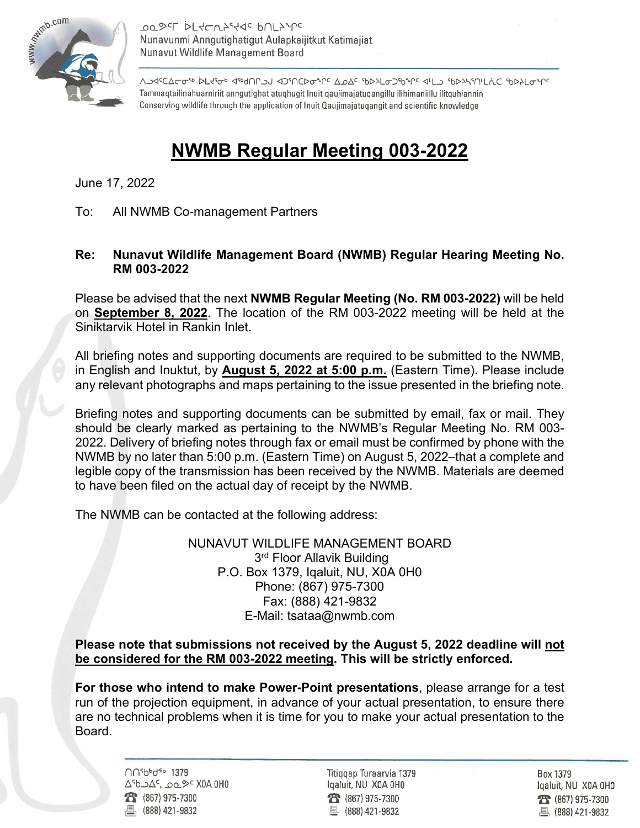

**ססى <sub>15</sub> מך** הך אל האלא היה אלי היה אל היה ה Nunavunmi Anngutighatigut Aulapkaijitkut Katimajiat Nunavut Wildlife Management Board

᠕ᠫᡏᢄ᠋ᢕᡄᡉ᠊᠗ᢂᢄᡶᢈᢥᡆ᠉ᡕᢂ᠕ᢓ᠅ᡗᢈ᠐᠕ᢓᢠ᠓ᡗᢓᡉ᠅ᡗ᠅᠕ᠫ᠘᠅ᠾᢂ᠘ᡗ᠅ᠾᢂ᠕ᢣ᠑ᢠ᠅᠒ᡰ᠕᠅ᢂᡫ᠗᠅᠐ᢣᡗᡕᡏ Tammaqtailinahuarniriit anngutighat atuqhugit Inuit qaujimajatuqangillu ilihimaniillu ilitquhiannin Conserving wildlife through the application of Inuit Qaujimajatugangit and scientific knowledge

## **NWMB Regular Meeting 003-2022**

June 17, 2022

To: All NWMB Co-management Partners

## **Re: Nunavut Wildlife Management Board (NWMB) Regular Hearing Meeting No. RM 003-2022**

Please be advised that the next **NWMB Regular Meeting (No. RM 003-2022)** will be held on **September 8, 2022**. The location of the RM 003-2022 meeting will be held at the Siniktarvik Hotel in Rankin Inlet.

All briefing notes and supporting documents are required to be submitted to the NWMB, in English and Inuktut, by **August 5, 2022 at 5:00 p.m.** (Eastern Time). Please include any relevant photographs and maps pertaining to the issue presented in the briefing note.

Briefing notes and supporting documents can be submitted by email, fax or mail. They should be clearly marked as pertaining to the NWMB's Regular Meeting No. RM 003- 2022. Delivery of briefing notes through fax or email must be confirmed by phone with the NWMB by no later than 5:00 p.m. (Eastern Time) on August 5, 2022–that a complete and legible copy of the transmission has been received by the NWMB. Materials are deemed to have been filed on the actual day of receipt by the NWMB.

The NWMB can be contacted at the following address:

NUNAVUT WILDLIFE MANAGEMENT BOARD 3<sup>rd</sup> Floor Allavik Building P.O. Box 1379, Iqaluit, NU, X0A 0H0 Phone: (867) 975-7300 Fax: (888) 421-9832 E-Mail: tsataa@nwmb.com

## **Please note that submissions not received by the August 5, 2022 deadline will not be considered for the RM 003-2022 meeting. This will be strictly enforced.**

**For those who intend to make Power-Point presentations**, please arrange for a test run of the projection equipment, in advance of your actual presentation, to ensure there are no technical problems when it is time for you to make your actual presentation to the Board.

> ∩∩<sup>5</sup>bbd<sup>eb</sup> 1379 ∆<sup>6</sup>b בסם, 2∆כ 28 (867) 975-7300 凰 (888) 421-9832

Titiggap Turaarvia 1379 Igaluit, NU X0A 0H0  $23 (867) 975 - 7300$ 凰 (888) 421-9832

Box 1379 Igaluit, NU X0A 0H0 28 (867) 975-7300 ■ (888) 421-9832